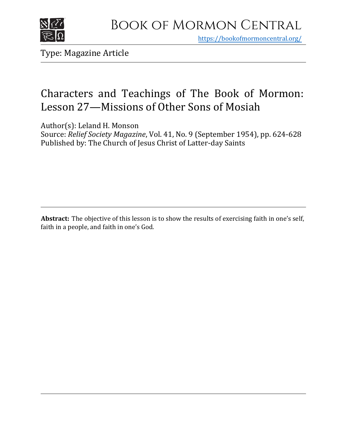

https[://bookofmormoncentral.org/](http://bookofmormoncentral.org/)

Type: Magazine Article

# Characters and Teachings of The Book of Mormon: Lesson 27—Missions of Other Sons of Mosiah

Author(s): Leland H. Monson

Source: *Relief Society Magazine*, Vol. 41, No. 9 (September 1954), pp. 624-628 Published by: The Church of Jesus Christ of Latter-day Saints

**Abstract:** The objective of this lesson is to show the results of exercising faith in one's self, faith in a people, and faith in one's God.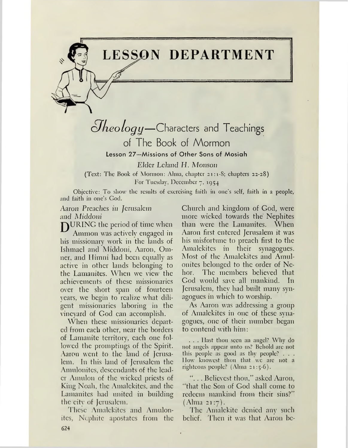# **LESSON DEPARTMENT**

*cHieology—*Characters and Teachings of The Book of Mormon Lesson 27—Missions of Other Sons of Mosiah

Elder Leland *II. Monson* (Text: The Book of Mormon: Alma, chapter 21:1-8; chapters 22-28) For Tuesday, December 7, 1954

Objective: To show the results of exercising faith in one's self, faith in a people, and faith in one's God.

Aaron Preaches in *Jerusalem and Middoni*

**DURING** the period of time when Ammon was actively engaged in his missionary work in the lands of Ishmael and Middoni, Aaron, Omner, and Ilimni had been equally as active in other lands belonging to the Lamanites. When we view the achievements of these missionaries over the short span of fourteen years, we begin to realize what diligent missionaries laboring in the vineyard of God can accomplish.

When these missionaries departed from each other, near the borders of Lamanite territory, each one followed the promptings of the Spirit. Aaron went to the land of Jerusalem. In this land of Jerusalem the Amulonites, descendants of the leader Amnion of the wicked priests of King Noah, the Amalckites, and the Lamanites had united in building the citv of Jerusalem.

These Amalckites and Amulonites, Ncphite apostates from the

Church and kingdom of God, were more wicked towards thé Nephites than were the Lamanites. When Aaron first entered Jerusalem it was his misfortune to preach first to the Amalckites in their synagogues. Most of the Amalckites and Amulonites belonged to the order of Nchor. The members believed that God would save all mankind. In Jerusalem, they had built many synagogues in which to worship.

As Aaron was addressing a group of Amalckites in one of these synagogucs, one of their number began to contend with him:

. . . Hast thou seen an angel? Why do not angels appear unto ns? Behold arc not this people as good as thv people? . . . IIow knowest thou that we arc not a righteous people? (Alma 21:5-6).

. . Bclievcst thou," asked Aaron, 'That the Son of God shall come to redeem mankind from their sins?" (Alma 21:7).

The Amalekite denied any such belief. Then it was that Aaron be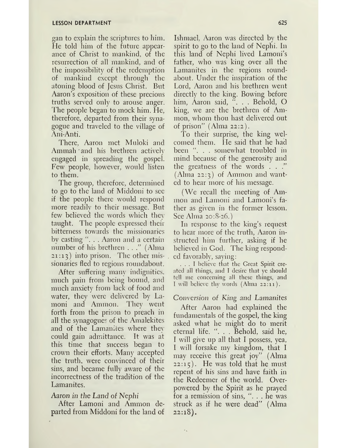gan to explain the scriptures to him. He told him of the future appearance of Christ to mankind, of the resurrection of all mankind, and of the impossibility of the redemption of mankind except through the atoning blood of Jesus Christ. But Aaron's exposition of these precious truths served only to arouse anger. The people began to mock him. He, therefore, departed from their synagogue and traveled to the village of Ani-Anti.

There, Aaron met Muloki and Ammah and his brethren actively engaged in spreading the gospel. Few people, however, would listen to them.

The group, therefore, determined to go to the land of Middoni to sec if the people there would respond more readily to their message. But few believed the words which they taught. The people expressed their bitterness towards the missionaries by casting ". . . Aaron and a certain number of his brethren . . ." (Alma 21:13) into prison. The other missionaries fled to regions roundabout.

After suffering many indignities, much pain from being bound, and much anxiety from lack of food and water, they were delivered by Lamoni and Ammon. They went forth from the prison to preach in all the synagogues of the Amalekites and of the Lamanites where they could gain admittance. It was at this time that success began to crown their efforts. Many accepted the truth, were convinced of their sins, and became fully aware of the incorrectness of the tradition of the Lamanites.

# Aaron *in the Land of Nephi*

After Lamoni and Ammon departed from Middoni for the land of

Ishmael, Aaron was directed by the spirit to go to the land of Nephi. In this land of Nephi lived Lamoni'<sup>s</sup> father, who was king over all the Lamanites in the regions roundabout. Under the inspiration of the Lord, Aaron and his brethren went directly to the king. Bowing before him, Aaron said, ". . . Behold, O king, we are the brethren of Ammon, whom thou hast delivered out of prison" (Alma 22:2).

To their surprise, the king welcomed them. He said that he had been ". . somewhat troubled in mind because of the generosity and the greatness of the words . . ." (Alma 22:3) of Ammon and wanted to hear more of his message.

(We recall the meeting of Ammon and Lamoni and Lamoni'<sup>s</sup> father as given in the former lesson. See Alma 20:8-26.)

In response to the king'<sup>s</sup> request to hear more of the truth, Aaron instructed him further, asking if he believed in God. The king responded favorably, saying:

... <sup>I</sup> believe that the Great Spirit created all things, and I desire that ye should tell me concerning all these things, and I will believe thy words (Alma 22:11).

# *Conversion of King and Lamanites*

After Aaron had explained the fundamentals of the gospel, the king asked what be might do to merit eternal life. ". . . Behold, said he, I will give up all that I possess, yea, I will forsake my kingdom, that I may receive this great joy" (Alma  $22:15$ ). He was told that he must repent of his sins and have faith in the Redeemer of the world. Overpowered by the Spirit as he prayed for a remission of sins, ". . . he was struck as if he were dead" (Alma 22:18).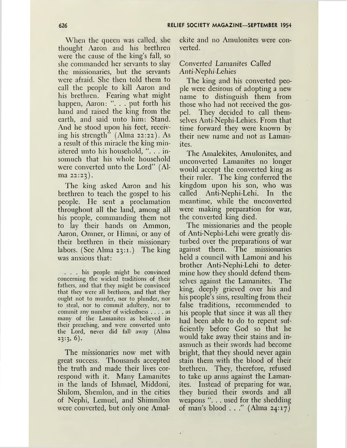When the queen was called, she thought Aaron and his brethren were the cause of the king's fall, so she commanded her servants to slay the missionaries, but the servants were afraid. She then told them to call the people to kill Aaron and his brethren. Fearing what might happen, Aaron: ". . . put forth his hand and raised the king from the earth, and said unto him: Stand. And he stood upon his feet, receiving his strength" (Alma 22:22). As a result of this miracle the king ministered unto his household, ". . . insomuch that his whole household were converted unto the Lord" (Alma 22:23).

The king asked Aaron and his brethren to teach the gospel to his people. He sent a proclamation throughout all the land, among all his people, commanding them not to lay their hands on Ammon, Aaron, Omner, or Himni, or any of their brethren in their missionary labors. (See Alma 23:1.) The king was anxious that:

... his people might be convinced concerning the wicked traditions of their fathers, and that they might be convinced that they were all brethren, and that they ought not to murder, nor to plunder, nor to steal, nor to commit adultery, nor to commit any number of wickedness .... as many of the Lamanites as believed in their preaching, and were converted unto the Lord, never did fall' away (Alma  $23:3, 6$ .

The missionaries now met with great success. Thousands accepted the truth and made their lives correspond with it. Many Lamanites in the lands of Ishmael, Middoni, Shilom, Shemlon, and in the cities of Nephi, Lemuel, and Shimnilon were converted, but only one Amalekite and no Amulonites were converted.

# Converted Lamanites *Called Anti-Nephi-Lehies*

The king and his converted people were desirous of adopting a new name to distinguish them from those who had not received the gospel. They decided to call themselves Anti-Nephi-Lehies. From that time forward they were known by their new name and not as Lamanites.

The Amalekites, Amulonites, and unconverted Lamanites no longer would accept the converted king as their ruler. The king conferred the kingdom upon his son, who was called Anti-Nephi-Lehi. In the meantime, while the unconverted were making preparation for war, the converted king died.

The missionaries and the people of Anti-Nephi-Lehi were greatly disturbed over the preparations of war against them. The missionaries held a council with Lamoni and his brother Anti-Nephi-Lehi to determine how they should defend themselves against the Lamanites. The king, deeply grieved over his and his people'<sup>s</sup> sins, resulting from their false traditions, recommended to his people that since it was all they had been able to do to repent sufficiently before God so that he would take away their stains and inasmuch as their swords had become bright, that they should never again stain them with the blood of their brethren. They, therefore, refused to take up arms against the Lamanites. Instead of preparing for war, they buried their swords and all weapons ". . . used for the shedding of man's blood  $\ldots$ " (Alma 24:17)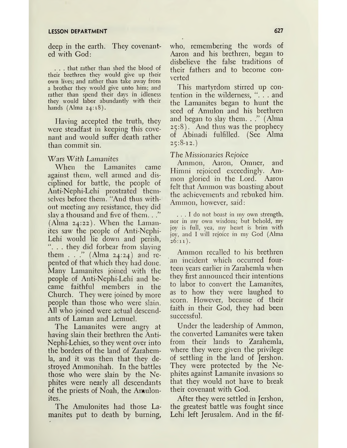#### **LESSON DEPARTMENT**

deep in the earth. They covenanted with God:

. . . that rather than shed the blood of their brethren they would give up their own lives; and rather than take away from a brother they would give unto him; and rather than spend their days in idleness they would labor abundantly with their hands (Alma 24:18).

Having accepted the truth, they were steadfast in keeping this covenant and would suffer death rather than commit sin.

### Wars *With Lamanites*

When the Lamanites came against them, well armed and disciplined for battle, the people of Anti-Nephi-Lehi prostrated themselves before them. "And thus without meeting any resistance, they did slay a thousand and five of them..." (Alma 24:22). When the Lamanites saw the people of Anti-Nephi-Lehi would lie down and perish, . they did forbear from slaying them  $\ldots$  " (Alma 24:24) and repented of that which they had done. Many Lamanites joined with the people of Anti-Nephi-Lehi and became faithful members in the Church. They were joined by more people than those who were slain. All who joined were actual descendants of Laman and Lemuel.

The Lamanites were angry at having slain their brethren the Anti-Nephi-Lehies, so they went over into the borders of the land of Zarahemla, and it was then that they destroyed Ammonihah. In the battles those who were slain by the Nephites were nearly all descendants of the priests of Noah, the Antulonites.

The Amulonites had those Lamanites put to death by burning, who, remembering the words of Aaron and his brethren, began to disbelieve the false traditions of their fathers and to become converted

This martyrdom stirred up contention in the wilderness, ". . . and the Lamanites began to hunt the seed of Amulon and his brethren and began to slay them. . ." (Alma 25:8). And thus was the prophecy of Abinadi fulfilled. (See Alma 25:8-12.)

*The Missionaries Rejoice*

Ammon, Aaron, Omner, and Himni rejoiced exceedingly. Ammon gloried in the Lord. Aaron felt that Ammon was boasting about the achievements and rebuked him. Ammon, however, said:

... <sup>I</sup> do not boast in my own strength, nor in my own wisdom; but behold, my joy is full, yea, my heart is brim with joy, and I will rejoice in my God (Alma  $26:11$ .

Ammon recalled to his brethren an incident which occurred fourteen years earlier in Zarahemla when they first announced their intentions to labor to convert the Lamanites, as to how they were laughed to scorn. However, because of their faith in their God, they had been successful.

Under the leadership of Ammon, the converted Lamanites were taken from their lands to Zarahemla, where they were given the privilege of settling in the land of Jershon. They were protected by the Nephites against Lamanite invasions so that they would not have to break their covenant with God.

After they were settled in Jershon, the greatest battle was fought since Lehi left Jerusalem. And in the fif-